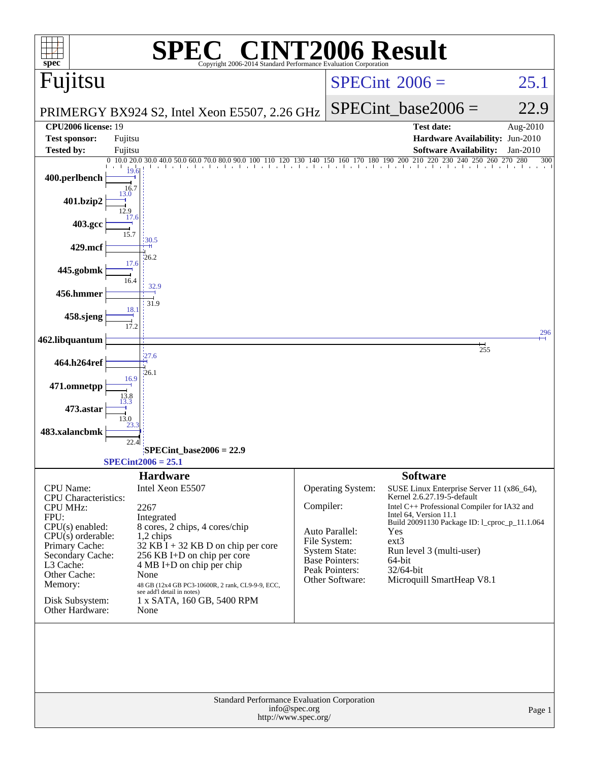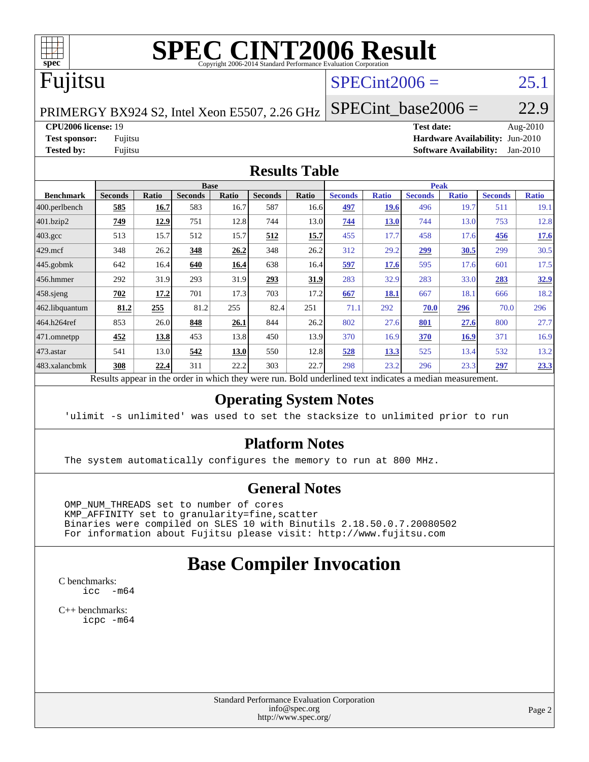

# **[SPEC CINT2006 Result](http://www.spec.org/auto/cpu2006/Docs/result-fields.html#SPECCINT2006Result)**

# Fujitsu

## $SPECint2006 =$  25.1

PRIMERGY BX924 S2, Intel Xeon E5507, 2.26 GHz

**[CPU2006 license:](http://www.spec.org/auto/cpu2006/Docs/result-fields.html#CPU2006license)** 19 **[Test date:](http://www.spec.org/auto/cpu2006/Docs/result-fields.html#Testdate)** Aug-2010 **[Test sponsor:](http://www.spec.org/auto/cpu2006/Docs/result-fields.html#Testsponsor)** Fujitsu **[Hardware Availability:](http://www.spec.org/auto/cpu2006/Docs/result-fields.html#HardwareAvailability)** Jun-2010 **[Tested by:](http://www.spec.org/auto/cpu2006/Docs/result-fields.html#Testedby)** Fujitsu **[Software Availability:](http://www.spec.org/auto/cpu2006/Docs/result-fields.html#SoftwareAvailability)** Jan-2010

SPECint base2006 =  $22.9$ 

#### **[Results Table](http://www.spec.org/auto/cpu2006/Docs/result-fields.html#ResultsTable)**

|                   |                                                  |              | <b>Base</b>    |       |                |       |                                                     |              | <b>Peak</b>    |              |                |              |
|-------------------|--------------------------------------------------|--------------|----------------|-------|----------------|-------|-----------------------------------------------------|--------------|----------------|--------------|----------------|--------------|
| <b>Benchmark</b>  | <b>Seconds</b>                                   | <b>Ratio</b> | <b>Seconds</b> | Ratio | <b>Seconds</b> | Ratio | <b>Seconds</b>                                      | <b>Ratio</b> | <b>Seconds</b> | <b>Ratio</b> | <b>Seconds</b> | <b>Ratio</b> |
| $ 400$ .perlbench | 585                                              | 16.7         | 583            | 16.7  | 587            | 16.6  | 497                                                 | <b>19.6</b>  | 496            | 19.7         | 511            | 19.1         |
| 401.bzip2         | 749                                              | 12.9         | 751            | 12.8  | 744            | 13.0  | 744                                                 | <b>13.0</b>  | 744            | 13.0         | 753            | 12.8         |
| $403.\text{gcc}$  | 513                                              | 15.7         | 512            | 15.7  | 512            | 15.7  | 455                                                 | 17.7         | 458            | 17.6         | 456            | 17.6         |
| $429$ .mcf        | 348                                              | 26.2         | 348            | 26.2  | 348            | 26.2  | 312                                                 | 29.2         | 299            | 30.5         | 299            | 30.5         |
| $445$ .gobmk      | 642                                              | 16.4         | 640            | 16.4  | 638            | 16.4  | 597                                                 | 17.6         | 595            | 17.6         | 601            | 17.5         |
| $456.$ hmmer      | 292                                              | 31.9         | 293            | 31.9  | 293            | 31.9  | 283                                                 | 32.9         | 283            | 33.0         | 283            | 32.9         |
| $458$ .sjeng      | 702                                              | 17.2         | 701            | 17.3  | 703            | 17.2  | 667                                                 | 18.1         | 667            | 18.1         | 666            | 18.2         |
| 462.libquantum    | 81.2                                             | 255          | 81.2           | 255   | 82.4           | 251   | 71.1                                                | 292          | 70.0           | 296          | 70.0           | 296          |
| 464.h264ref       | 853                                              | 26.0         | 848            | 26.1  | 844            | 26.2  | 802                                                 | 27.6         | 801            | 27.6         | 800            | 27.7         |
| 471.omnetpp       | 452                                              | 13.8         | 453            | 13.8  | 450            | 13.9  | 370                                                 | 16.9         | 370            | 16.9         | 371            | 16.9         |
| $473$ . astar     | 541                                              | 13.0         | 542            | 13.0  | 550            | 12.8  | 528                                                 | 13.3         | 525            | 13.4         | 532            | 13.2         |
| 483.xalancbmk     | 308                                              | 22.4         | 311            | 22.2  | 303            | 22.7  | 298                                                 | 23.2         | 296            | 23.3         | 297            | 23.3         |
|                   | Decute ennoye in the endor in which they were my |              |                |       |                |       | Dold underlined text indicates a madian measurement |              |                |              |                |              |

Results appear in the [order in which they were run.](http://www.spec.org/auto/cpu2006/Docs/result-fields.html#RunOrder) Bold underlined text [indicates a median measurement.](http://www.spec.org/auto/cpu2006/Docs/result-fields.html#Median)

#### **[Operating System Notes](http://www.spec.org/auto/cpu2006/Docs/result-fields.html#OperatingSystemNotes)**

'ulimit -s unlimited' was used to set the stacksize to unlimited prior to run

#### **[Platform Notes](http://www.spec.org/auto/cpu2006/Docs/result-fields.html#PlatformNotes)**

The system automatically configures the memory to run at 800 MHz.

#### **[General Notes](http://www.spec.org/auto/cpu2006/Docs/result-fields.html#GeneralNotes)**

 OMP\_NUM\_THREADS set to number of cores KMP\_AFFINITY set to granularity=fine,scatter Binaries were compiled on SLES 10 with Binutils 2.18.50.0.7.20080502 For information about Fujitsu please visit: <http://www.fujitsu.com>

## **[Base Compiler Invocation](http://www.spec.org/auto/cpu2006/Docs/result-fields.html#BaseCompilerInvocation)**

[C benchmarks](http://www.spec.org/auto/cpu2006/Docs/result-fields.html#Cbenchmarks): [icc -m64](http://www.spec.org/cpu2006/results/res2010q3/cpu2006-20100813-12887.flags.html#user_CCbase_intel_icc_64bit_f346026e86af2a669e726fe758c88044)

[C++ benchmarks:](http://www.spec.org/auto/cpu2006/Docs/result-fields.html#CXXbenchmarks) [icpc -m64](http://www.spec.org/cpu2006/results/res2010q3/cpu2006-20100813-12887.flags.html#user_CXXbase_intel_icpc_64bit_fc66a5337ce925472a5c54ad6a0de310)

> Standard Performance Evaluation Corporation [info@spec.org](mailto:info@spec.org) <http://www.spec.org/>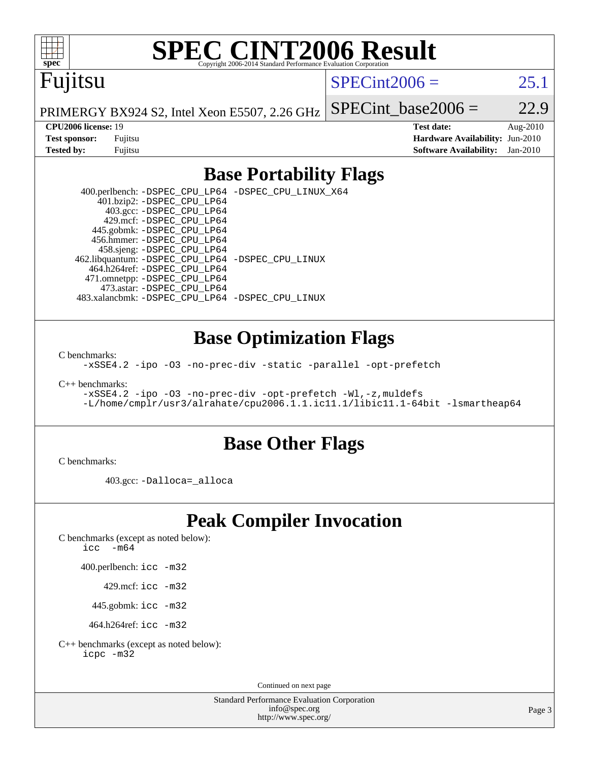

# **[SPEC CINT2006 Result](http://www.spec.org/auto/cpu2006/Docs/result-fields.html#SPECCINT2006Result)**

# Fujitsu

 $SPECint2006 = 25.1$  $SPECint2006 = 25.1$ 

PRIMERGY BX924 S2, Intel Xeon E5507, 2.26 GHz

SPECint base2006 =  $22.9$ 

**[CPU2006 license:](http://www.spec.org/auto/cpu2006/Docs/result-fields.html#CPU2006license)** 19 **[Test date:](http://www.spec.org/auto/cpu2006/Docs/result-fields.html#Testdate)** Aug-2010 **[Test sponsor:](http://www.spec.org/auto/cpu2006/Docs/result-fields.html#Testsponsor)** Fujitsu **[Hardware Availability:](http://www.spec.org/auto/cpu2006/Docs/result-fields.html#HardwareAvailability)** Jun-2010 **[Tested by:](http://www.spec.org/auto/cpu2006/Docs/result-fields.html#Testedby)** Fujitsu **[Software Availability:](http://www.spec.org/auto/cpu2006/Docs/result-fields.html#SoftwareAvailability)** Jan-2010

### **[Base Portability Flags](http://www.spec.org/auto/cpu2006/Docs/result-fields.html#BasePortabilityFlags)**

 400.perlbench: [-DSPEC\\_CPU\\_LP64](http://www.spec.org/cpu2006/results/res2010q3/cpu2006-20100813-12887.flags.html#b400.perlbench_basePORTABILITY_DSPEC_CPU_LP64) [-DSPEC\\_CPU\\_LINUX\\_X64](http://www.spec.org/cpu2006/results/res2010q3/cpu2006-20100813-12887.flags.html#b400.perlbench_baseCPORTABILITY_DSPEC_CPU_LINUX_X64) 401.bzip2: [-DSPEC\\_CPU\\_LP64](http://www.spec.org/cpu2006/results/res2010q3/cpu2006-20100813-12887.flags.html#suite_basePORTABILITY401_bzip2_DSPEC_CPU_LP64) 403.gcc: [-DSPEC\\_CPU\\_LP64](http://www.spec.org/cpu2006/results/res2010q3/cpu2006-20100813-12887.flags.html#suite_basePORTABILITY403_gcc_DSPEC_CPU_LP64) 429.mcf: [-DSPEC\\_CPU\\_LP64](http://www.spec.org/cpu2006/results/res2010q3/cpu2006-20100813-12887.flags.html#suite_basePORTABILITY429_mcf_DSPEC_CPU_LP64) 445.gobmk: [-DSPEC\\_CPU\\_LP64](http://www.spec.org/cpu2006/results/res2010q3/cpu2006-20100813-12887.flags.html#suite_basePORTABILITY445_gobmk_DSPEC_CPU_LP64) 456.hmmer: [-DSPEC\\_CPU\\_LP64](http://www.spec.org/cpu2006/results/res2010q3/cpu2006-20100813-12887.flags.html#suite_basePORTABILITY456_hmmer_DSPEC_CPU_LP64) 458.sjeng: [-DSPEC\\_CPU\\_LP64](http://www.spec.org/cpu2006/results/res2010q3/cpu2006-20100813-12887.flags.html#suite_basePORTABILITY458_sjeng_DSPEC_CPU_LP64) 462.libquantum: [-DSPEC\\_CPU\\_LP64](http://www.spec.org/cpu2006/results/res2010q3/cpu2006-20100813-12887.flags.html#suite_basePORTABILITY462_libquantum_DSPEC_CPU_LP64) [-DSPEC\\_CPU\\_LINUX](http://www.spec.org/cpu2006/results/res2010q3/cpu2006-20100813-12887.flags.html#b462.libquantum_baseCPORTABILITY_DSPEC_CPU_LINUX) 464.h264ref: [-DSPEC\\_CPU\\_LP64](http://www.spec.org/cpu2006/results/res2010q3/cpu2006-20100813-12887.flags.html#suite_basePORTABILITY464_h264ref_DSPEC_CPU_LP64) 471.omnetpp: [-DSPEC\\_CPU\\_LP64](http://www.spec.org/cpu2006/results/res2010q3/cpu2006-20100813-12887.flags.html#suite_basePORTABILITY471_omnetpp_DSPEC_CPU_LP64) 473.astar: [-DSPEC\\_CPU\\_LP64](http://www.spec.org/cpu2006/results/res2010q3/cpu2006-20100813-12887.flags.html#suite_basePORTABILITY473_astar_DSPEC_CPU_LP64) 483.xalancbmk: [-DSPEC\\_CPU\\_LP64](http://www.spec.org/cpu2006/results/res2010q3/cpu2006-20100813-12887.flags.html#suite_basePORTABILITY483_xalancbmk_DSPEC_CPU_LP64) [-DSPEC\\_CPU\\_LINUX](http://www.spec.org/cpu2006/results/res2010q3/cpu2006-20100813-12887.flags.html#b483.xalancbmk_baseCXXPORTABILITY_DSPEC_CPU_LINUX)

#### **[Base Optimization Flags](http://www.spec.org/auto/cpu2006/Docs/result-fields.html#BaseOptimizationFlags)**

[C benchmarks](http://www.spec.org/auto/cpu2006/Docs/result-fields.html#Cbenchmarks):

[-xSSE4.2](http://www.spec.org/cpu2006/results/res2010q3/cpu2006-20100813-12887.flags.html#user_CCbase_f-xSSE42_f91528193cf0b216347adb8b939d4107) [-ipo](http://www.spec.org/cpu2006/results/res2010q3/cpu2006-20100813-12887.flags.html#user_CCbase_f-ipo) [-O3](http://www.spec.org/cpu2006/results/res2010q3/cpu2006-20100813-12887.flags.html#user_CCbase_f-O3) [-no-prec-div](http://www.spec.org/cpu2006/results/res2010q3/cpu2006-20100813-12887.flags.html#user_CCbase_f-no-prec-div) [-static](http://www.spec.org/cpu2006/results/res2010q3/cpu2006-20100813-12887.flags.html#user_CCbase_f-static) [-parallel](http://www.spec.org/cpu2006/results/res2010q3/cpu2006-20100813-12887.flags.html#user_CCbase_f-parallel) [-opt-prefetch](http://www.spec.org/cpu2006/results/res2010q3/cpu2006-20100813-12887.flags.html#user_CCbase_f-opt-prefetch)

[C++ benchmarks:](http://www.spec.org/auto/cpu2006/Docs/result-fields.html#CXXbenchmarks)

[-xSSE4.2](http://www.spec.org/cpu2006/results/res2010q3/cpu2006-20100813-12887.flags.html#user_CXXbase_f-xSSE42_f91528193cf0b216347adb8b939d4107) [-ipo](http://www.spec.org/cpu2006/results/res2010q3/cpu2006-20100813-12887.flags.html#user_CXXbase_f-ipo) [-O3](http://www.spec.org/cpu2006/results/res2010q3/cpu2006-20100813-12887.flags.html#user_CXXbase_f-O3) [-no-prec-div](http://www.spec.org/cpu2006/results/res2010q3/cpu2006-20100813-12887.flags.html#user_CXXbase_f-no-prec-div) [-opt-prefetch](http://www.spec.org/cpu2006/results/res2010q3/cpu2006-20100813-12887.flags.html#user_CXXbase_f-opt-prefetch) [-Wl,-z,muldefs](http://www.spec.org/cpu2006/results/res2010q3/cpu2006-20100813-12887.flags.html#user_CXXbase_link_force_multiple1_74079c344b956b9658436fd1b6dd3a8a) [-L/home/cmplr/usr3/alrahate/cpu2006.1.1.ic11.1/libic11.1-64bit -lsmartheap64](http://www.spec.org/cpu2006/results/res2010q3/cpu2006-20100813-12887.flags.html#user_CXXbase_SmartHeap64_e2306cda84805d1ab360117a79ff779c)

#### **[Base Other Flags](http://www.spec.org/auto/cpu2006/Docs/result-fields.html#BaseOtherFlags)**

[C benchmarks](http://www.spec.org/auto/cpu2006/Docs/result-fields.html#Cbenchmarks):

403.gcc: [-Dalloca=\\_alloca](http://www.spec.org/cpu2006/results/res2010q3/cpu2006-20100813-12887.flags.html#b403.gcc_baseEXTRA_CFLAGS_Dalloca_be3056838c12de2578596ca5467af7f3)

## **[Peak Compiler Invocation](http://www.spec.org/auto/cpu2006/Docs/result-fields.html#PeakCompilerInvocation)**

[C benchmarks \(except as noted below\)](http://www.spec.org/auto/cpu2006/Docs/result-fields.html#Cbenchmarksexceptasnotedbelow):

[icc -m64](http://www.spec.org/cpu2006/results/res2010q3/cpu2006-20100813-12887.flags.html#user_CCpeak_intel_icc_64bit_f346026e86af2a669e726fe758c88044)

400.perlbench: [icc -m32](http://www.spec.org/cpu2006/results/res2010q3/cpu2006-20100813-12887.flags.html#user_peakCCLD400_perlbench_intel_icc_32bit_a6a621f8d50482236b970c6ac5f55f93)

429.mcf: [icc -m32](http://www.spec.org/cpu2006/results/res2010q3/cpu2006-20100813-12887.flags.html#user_peakCCLD429_mcf_intel_icc_32bit_a6a621f8d50482236b970c6ac5f55f93)

445.gobmk: [icc -m32](http://www.spec.org/cpu2006/results/res2010q3/cpu2006-20100813-12887.flags.html#user_peakCCLD445_gobmk_intel_icc_32bit_a6a621f8d50482236b970c6ac5f55f93)

464.h264ref: [icc -m32](http://www.spec.org/cpu2006/results/res2010q3/cpu2006-20100813-12887.flags.html#user_peakCCLD464_h264ref_intel_icc_32bit_a6a621f8d50482236b970c6ac5f55f93)

[C++ benchmarks \(except as noted below\):](http://www.spec.org/auto/cpu2006/Docs/result-fields.html#CXXbenchmarksexceptasnotedbelow) [icpc -m32](http://www.spec.org/cpu2006/results/res2010q3/cpu2006-20100813-12887.flags.html#user_CXXpeak_intel_icpc_32bit_4e5a5ef1a53fd332b3c49e69c3330699)

Continued on next page

Standard Performance Evaluation Corporation [info@spec.org](mailto:info@spec.org) <http://www.spec.org/>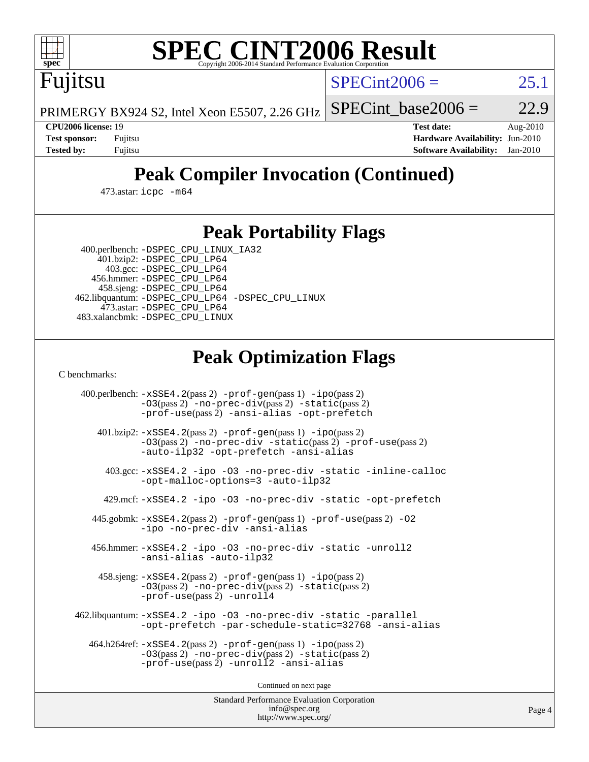

Fujitsu

# **[SPEC CINT2006 Result](http://www.spec.org/auto/cpu2006/Docs/result-fields.html#SPECCINT2006Result)**

 $SPECint2006 = 25.1$  $SPECint2006 = 25.1$ 

PRIMERGY BX924 S2, Intel Xeon E5507, 2.26 GHz SPECint base2006 =  $22.9$ 

**[CPU2006 license:](http://www.spec.org/auto/cpu2006/Docs/result-fields.html#CPU2006license)** 19 **[Test date:](http://www.spec.org/auto/cpu2006/Docs/result-fields.html#Testdate)** Aug-2010 **[Test sponsor:](http://www.spec.org/auto/cpu2006/Docs/result-fields.html#Testsponsor)** Fujitsu **[Hardware Availability:](http://www.spec.org/auto/cpu2006/Docs/result-fields.html#HardwareAvailability)** Jun-2010 **[Tested by:](http://www.spec.org/auto/cpu2006/Docs/result-fields.html#Testedby)** Fujitsu **[Software Availability:](http://www.spec.org/auto/cpu2006/Docs/result-fields.html#SoftwareAvailability)** Jan-2010

# **[Peak Compiler Invocation \(Continued\)](http://www.spec.org/auto/cpu2006/Docs/result-fields.html#PeakCompilerInvocation)**

473.astar: [icpc -m64](http://www.spec.org/cpu2006/results/res2010q3/cpu2006-20100813-12887.flags.html#user_peakCXXLD473_astar_intel_icpc_64bit_fc66a5337ce925472a5c54ad6a0de310)

## **[Peak Portability Flags](http://www.spec.org/auto/cpu2006/Docs/result-fields.html#PeakPortabilityFlags)**

400.perlbench: [-DSPEC\\_CPU\\_LINUX\\_IA32](http://www.spec.org/cpu2006/results/res2010q3/cpu2006-20100813-12887.flags.html#b400.perlbench_peakCPORTABILITY_DSPEC_CPU_LINUX_IA32)

 401.bzip2: [-DSPEC\\_CPU\\_LP64](http://www.spec.org/cpu2006/results/res2010q3/cpu2006-20100813-12887.flags.html#suite_peakPORTABILITY401_bzip2_DSPEC_CPU_LP64) 403.gcc: [-DSPEC\\_CPU\\_LP64](http://www.spec.org/cpu2006/results/res2010q3/cpu2006-20100813-12887.flags.html#suite_peakPORTABILITY403_gcc_DSPEC_CPU_LP64) 456.hmmer: [-DSPEC\\_CPU\\_LP64](http://www.spec.org/cpu2006/results/res2010q3/cpu2006-20100813-12887.flags.html#suite_peakPORTABILITY456_hmmer_DSPEC_CPU_LP64) 458.sjeng: [-DSPEC\\_CPU\\_LP64](http://www.spec.org/cpu2006/results/res2010q3/cpu2006-20100813-12887.flags.html#suite_peakPORTABILITY458_sjeng_DSPEC_CPU_LP64) 462.libquantum: [-DSPEC\\_CPU\\_LP64](http://www.spec.org/cpu2006/results/res2010q3/cpu2006-20100813-12887.flags.html#suite_peakPORTABILITY462_libquantum_DSPEC_CPU_LP64) [-DSPEC\\_CPU\\_LINUX](http://www.spec.org/cpu2006/results/res2010q3/cpu2006-20100813-12887.flags.html#b462.libquantum_peakCPORTABILITY_DSPEC_CPU_LINUX) 473.astar: [-DSPEC\\_CPU\\_LP64](http://www.spec.org/cpu2006/results/res2010q3/cpu2006-20100813-12887.flags.html#suite_peakPORTABILITY473_astar_DSPEC_CPU_LP64) 483.xalancbmk: [-DSPEC\\_CPU\\_LINUX](http://www.spec.org/cpu2006/results/res2010q3/cpu2006-20100813-12887.flags.html#b483.xalancbmk_peakCXXPORTABILITY_DSPEC_CPU_LINUX)

# **[Peak Optimization Flags](http://www.spec.org/auto/cpu2006/Docs/result-fields.html#PeakOptimizationFlags)**

[C benchmarks](http://www.spec.org/auto/cpu2006/Docs/result-fields.html#Cbenchmarks):

 400.perlbench: [-xSSE4.2](http://www.spec.org/cpu2006/results/res2010q3/cpu2006-20100813-12887.flags.html#user_peakPASS2_CFLAGSPASS2_LDCFLAGS400_perlbench_f-xSSE42_f91528193cf0b216347adb8b939d4107)(pass 2) [-prof-gen](http://www.spec.org/cpu2006/results/res2010q3/cpu2006-20100813-12887.flags.html#user_peakPASS1_CFLAGSPASS1_LDCFLAGS400_perlbench_prof_gen_e43856698f6ca7b7e442dfd80e94a8fc)(pass 1) [-ipo](http://www.spec.org/cpu2006/results/res2010q3/cpu2006-20100813-12887.flags.html#user_peakPASS2_CFLAGSPASS2_LDCFLAGS400_perlbench_f-ipo)(pass 2) [-O3](http://www.spec.org/cpu2006/results/res2010q3/cpu2006-20100813-12887.flags.html#user_peakPASS2_CFLAGSPASS2_LDCFLAGS400_perlbench_f-O3)(pass 2) [-no-prec-div](http://www.spec.org/cpu2006/results/res2010q3/cpu2006-20100813-12887.flags.html#user_peakPASS2_CFLAGSPASS2_LDCFLAGS400_perlbench_f-no-prec-div)(pass 2) [-static](http://www.spec.org/cpu2006/results/res2010q3/cpu2006-20100813-12887.flags.html#user_peakPASS2_CFLAGSPASS2_LDCFLAGS400_perlbench_f-static)(pass 2) [-prof-use](http://www.spec.org/cpu2006/results/res2010q3/cpu2006-20100813-12887.flags.html#user_peakPASS2_CFLAGSPASS2_LDCFLAGS400_perlbench_prof_use_bccf7792157ff70d64e32fe3e1250b55)(pass 2) [-ansi-alias](http://www.spec.org/cpu2006/results/res2010q3/cpu2006-20100813-12887.flags.html#user_peakCOPTIMIZE400_perlbench_f-ansi-alias) [-opt-prefetch](http://www.spec.org/cpu2006/results/res2010q3/cpu2006-20100813-12887.flags.html#user_peakCOPTIMIZE400_perlbench_f-opt-prefetch) 401.bzip2: [-xSSE4.2](http://www.spec.org/cpu2006/results/res2010q3/cpu2006-20100813-12887.flags.html#user_peakPASS2_CFLAGSPASS2_LDCFLAGS401_bzip2_f-xSSE42_f91528193cf0b216347adb8b939d4107)(pass 2) [-prof-gen](http://www.spec.org/cpu2006/results/res2010q3/cpu2006-20100813-12887.flags.html#user_peakPASS1_CFLAGSPASS1_LDCFLAGS401_bzip2_prof_gen_e43856698f6ca7b7e442dfd80e94a8fc)(pass 1) [-ipo](http://www.spec.org/cpu2006/results/res2010q3/cpu2006-20100813-12887.flags.html#user_peakPASS2_CFLAGSPASS2_LDCFLAGS401_bzip2_f-ipo)(pass 2) [-O3](http://www.spec.org/cpu2006/results/res2010q3/cpu2006-20100813-12887.flags.html#user_peakPASS2_CFLAGSPASS2_LDCFLAGS401_bzip2_f-O3)(pass 2) [-no-prec-div](http://www.spec.org/cpu2006/results/res2010q3/cpu2006-20100813-12887.flags.html#user_peakCOPTIMIZEPASS2_CFLAGSPASS2_LDCFLAGS401_bzip2_f-no-prec-div) [-static](http://www.spec.org/cpu2006/results/res2010q3/cpu2006-20100813-12887.flags.html#user_peakPASS2_CFLAGSPASS2_LDCFLAGS401_bzip2_f-static)(pass 2) [-prof-use](http://www.spec.org/cpu2006/results/res2010q3/cpu2006-20100813-12887.flags.html#user_peakPASS2_CFLAGSPASS2_LDCFLAGS401_bzip2_prof_use_bccf7792157ff70d64e32fe3e1250b55)(pass 2) [-auto-ilp32](http://www.spec.org/cpu2006/results/res2010q3/cpu2006-20100813-12887.flags.html#user_peakCOPTIMIZE401_bzip2_f-auto-ilp32) [-opt-prefetch](http://www.spec.org/cpu2006/results/res2010q3/cpu2006-20100813-12887.flags.html#user_peakCOPTIMIZE401_bzip2_f-opt-prefetch) [-ansi-alias](http://www.spec.org/cpu2006/results/res2010q3/cpu2006-20100813-12887.flags.html#user_peakCOPTIMIZE401_bzip2_f-ansi-alias) 403.gcc: [-xSSE4.2](http://www.spec.org/cpu2006/results/res2010q3/cpu2006-20100813-12887.flags.html#user_peakCOPTIMIZE403_gcc_f-xSSE42_f91528193cf0b216347adb8b939d4107) [-ipo](http://www.spec.org/cpu2006/results/res2010q3/cpu2006-20100813-12887.flags.html#user_peakCOPTIMIZE403_gcc_f-ipo) [-O3](http://www.spec.org/cpu2006/results/res2010q3/cpu2006-20100813-12887.flags.html#user_peakCOPTIMIZE403_gcc_f-O3) [-no-prec-div](http://www.spec.org/cpu2006/results/res2010q3/cpu2006-20100813-12887.flags.html#user_peakCOPTIMIZE403_gcc_f-no-prec-div) [-static](http://www.spec.org/cpu2006/results/res2010q3/cpu2006-20100813-12887.flags.html#user_peakCOPTIMIZE403_gcc_f-static) [-inline-calloc](http://www.spec.org/cpu2006/results/res2010q3/cpu2006-20100813-12887.flags.html#user_peakCOPTIMIZE403_gcc_f-inline-calloc) [-opt-malloc-options=3](http://www.spec.org/cpu2006/results/res2010q3/cpu2006-20100813-12887.flags.html#user_peakCOPTIMIZE403_gcc_f-opt-malloc-options_13ab9b803cf986b4ee62f0a5998c2238) [-auto-ilp32](http://www.spec.org/cpu2006/results/res2010q3/cpu2006-20100813-12887.flags.html#user_peakCOPTIMIZE403_gcc_f-auto-ilp32) 429.mcf: [-xSSE4.2](http://www.spec.org/cpu2006/results/res2010q3/cpu2006-20100813-12887.flags.html#user_peakCOPTIMIZE429_mcf_f-xSSE42_f91528193cf0b216347adb8b939d4107) [-ipo](http://www.spec.org/cpu2006/results/res2010q3/cpu2006-20100813-12887.flags.html#user_peakCOPTIMIZE429_mcf_f-ipo) [-O3](http://www.spec.org/cpu2006/results/res2010q3/cpu2006-20100813-12887.flags.html#user_peakCOPTIMIZE429_mcf_f-O3) [-no-prec-div](http://www.spec.org/cpu2006/results/res2010q3/cpu2006-20100813-12887.flags.html#user_peakCOPTIMIZE429_mcf_f-no-prec-div) [-static](http://www.spec.org/cpu2006/results/res2010q3/cpu2006-20100813-12887.flags.html#user_peakCOPTIMIZE429_mcf_f-static) [-opt-prefetch](http://www.spec.org/cpu2006/results/res2010q3/cpu2006-20100813-12887.flags.html#user_peakCOPTIMIZE429_mcf_f-opt-prefetch) 445.gobmk: [-xSSE4.2](http://www.spec.org/cpu2006/results/res2010q3/cpu2006-20100813-12887.flags.html#user_peakPASS2_CFLAGSPASS2_LDCFLAGS445_gobmk_f-xSSE42_f91528193cf0b216347adb8b939d4107)(pass 2) [-prof-gen](http://www.spec.org/cpu2006/results/res2010q3/cpu2006-20100813-12887.flags.html#user_peakPASS1_CFLAGSPASS1_LDCFLAGS445_gobmk_prof_gen_e43856698f6ca7b7e442dfd80e94a8fc)(pass 1) [-prof-use](http://www.spec.org/cpu2006/results/res2010q3/cpu2006-20100813-12887.flags.html#user_peakPASS2_CFLAGSPASS2_LDCFLAGS445_gobmk_prof_use_bccf7792157ff70d64e32fe3e1250b55)(pass 2) [-O2](http://www.spec.org/cpu2006/results/res2010q3/cpu2006-20100813-12887.flags.html#user_peakCOPTIMIZE445_gobmk_f-O2) [-ipo](http://www.spec.org/cpu2006/results/res2010q3/cpu2006-20100813-12887.flags.html#user_peakCOPTIMIZE445_gobmk_f-ipo) [-no-prec-div](http://www.spec.org/cpu2006/results/res2010q3/cpu2006-20100813-12887.flags.html#user_peakCOPTIMIZE445_gobmk_f-no-prec-div) [-ansi-alias](http://www.spec.org/cpu2006/results/res2010q3/cpu2006-20100813-12887.flags.html#user_peakCOPTIMIZE445_gobmk_f-ansi-alias) 456.hmmer: [-xSSE4.2](http://www.spec.org/cpu2006/results/res2010q3/cpu2006-20100813-12887.flags.html#user_peakCOPTIMIZE456_hmmer_f-xSSE42_f91528193cf0b216347adb8b939d4107) [-ipo](http://www.spec.org/cpu2006/results/res2010q3/cpu2006-20100813-12887.flags.html#user_peakCOPTIMIZE456_hmmer_f-ipo) [-O3](http://www.spec.org/cpu2006/results/res2010q3/cpu2006-20100813-12887.flags.html#user_peakCOPTIMIZE456_hmmer_f-O3) [-no-prec-div](http://www.spec.org/cpu2006/results/res2010q3/cpu2006-20100813-12887.flags.html#user_peakCOPTIMIZE456_hmmer_f-no-prec-div) [-static](http://www.spec.org/cpu2006/results/res2010q3/cpu2006-20100813-12887.flags.html#user_peakCOPTIMIZE456_hmmer_f-static) [-unroll2](http://www.spec.org/cpu2006/results/res2010q3/cpu2006-20100813-12887.flags.html#user_peakCOPTIMIZE456_hmmer_f-unroll_784dae83bebfb236979b41d2422d7ec2) [-ansi-alias](http://www.spec.org/cpu2006/results/res2010q3/cpu2006-20100813-12887.flags.html#user_peakCOPTIMIZE456_hmmer_f-ansi-alias) [-auto-ilp32](http://www.spec.org/cpu2006/results/res2010q3/cpu2006-20100813-12887.flags.html#user_peakCOPTIMIZE456_hmmer_f-auto-ilp32) 458.sjeng: [-xSSE4.2](http://www.spec.org/cpu2006/results/res2010q3/cpu2006-20100813-12887.flags.html#user_peakPASS2_CFLAGSPASS2_LDCFLAGS458_sjeng_f-xSSE42_f91528193cf0b216347adb8b939d4107)(pass 2) [-prof-gen](http://www.spec.org/cpu2006/results/res2010q3/cpu2006-20100813-12887.flags.html#user_peakPASS1_CFLAGSPASS1_LDCFLAGS458_sjeng_prof_gen_e43856698f6ca7b7e442dfd80e94a8fc)(pass 1) [-ipo](http://www.spec.org/cpu2006/results/res2010q3/cpu2006-20100813-12887.flags.html#user_peakPASS2_CFLAGSPASS2_LDCFLAGS458_sjeng_f-ipo)(pass 2) [-O3](http://www.spec.org/cpu2006/results/res2010q3/cpu2006-20100813-12887.flags.html#user_peakPASS2_CFLAGSPASS2_LDCFLAGS458_sjeng_f-O3)(pass 2) [-no-prec-div](http://www.spec.org/cpu2006/results/res2010q3/cpu2006-20100813-12887.flags.html#user_peakPASS2_CFLAGSPASS2_LDCFLAGS458_sjeng_f-no-prec-div)(pass 2) [-static](http://www.spec.org/cpu2006/results/res2010q3/cpu2006-20100813-12887.flags.html#user_peakPASS2_CFLAGSPASS2_LDCFLAGS458_sjeng_f-static)(pass 2) [-prof-use](http://www.spec.org/cpu2006/results/res2010q3/cpu2006-20100813-12887.flags.html#user_peakPASS2_CFLAGSPASS2_LDCFLAGS458_sjeng_prof_use_bccf7792157ff70d64e32fe3e1250b55)(pass 2) [-unroll4](http://www.spec.org/cpu2006/results/res2010q3/cpu2006-20100813-12887.flags.html#user_peakCOPTIMIZE458_sjeng_f-unroll_4e5e4ed65b7fd20bdcd365bec371b81f) 462.libquantum: [-xSSE4.2](http://www.spec.org/cpu2006/results/res2010q3/cpu2006-20100813-12887.flags.html#user_peakCOPTIMIZE462_libquantum_f-xSSE42_f91528193cf0b216347adb8b939d4107) [-ipo](http://www.spec.org/cpu2006/results/res2010q3/cpu2006-20100813-12887.flags.html#user_peakCOPTIMIZE462_libquantum_f-ipo) [-O3](http://www.spec.org/cpu2006/results/res2010q3/cpu2006-20100813-12887.flags.html#user_peakCOPTIMIZE462_libquantum_f-O3) [-no-prec-div](http://www.spec.org/cpu2006/results/res2010q3/cpu2006-20100813-12887.flags.html#user_peakCOPTIMIZE462_libquantum_f-no-prec-div) [-static](http://www.spec.org/cpu2006/results/res2010q3/cpu2006-20100813-12887.flags.html#user_peakCOPTIMIZE462_libquantum_f-static) [-parallel](http://www.spec.org/cpu2006/results/res2010q3/cpu2006-20100813-12887.flags.html#user_peakCOPTIMIZE462_libquantum_f-parallel) [-opt-prefetch](http://www.spec.org/cpu2006/results/res2010q3/cpu2006-20100813-12887.flags.html#user_peakCOPTIMIZE462_libquantum_f-opt-prefetch) [-par-schedule-static=32768](http://www.spec.org/cpu2006/results/res2010q3/cpu2006-20100813-12887.flags.html#user_peakCOPTIMIZE462_libquantum_f-par-schedule_9386bcd99ba64e99ee01d1aafefddd14) [-ansi-alias](http://www.spec.org/cpu2006/results/res2010q3/cpu2006-20100813-12887.flags.html#user_peakCOPTIMIZE462_libquantum_f-ansi-alias) 464.h264ref: [-xSSE4.2](http://www.spec.org/cpu2006/results/res2010q3/cpu2006-20100813-12887.flags.html#user_peakPASS2_CFLAGSPASS2_LDCFLAGS464_h264ref_f-xSSE42_f91528193cf0b216347adb8b939d4107)(pass 2) [-prof-gen](http://www.spec.org/cpu2006/results/res2010q3/cpu2006-20100813-12887.flags.html#user_peakPASS1_CFLAGSPASS1_LDCFLAGS464_h264ref_prof_gen_e43856698f6ca7b7e442dfd80e94a8fc)(pass 1) [-ipo](http://www.spec.org/cpu2006/results/res2010q3/cpu2006-20100813-12887.flags.html#user_peakPASS2_CFLAGSPASS2_LDCFLAGS464_h264ref_f-ipo)(pass 2) [-O3](http://www.spec.org/cpu2006/results/res2010q3/cpu2006-20100813-12887.flags.html#user_peakPASS2_CFLAGSPASS2_LDCFLAGS464_h264ref_f-O3)(pass 2) [-no-prec-div](http://www.spec.org/cpu2006/results/res2010q3/cpu2006-20100813-12887.flags.html#user_peakPASS2_CFLAGSPASS2_LDCFLAGS464_h264ref_f-no-prec-div)(pass 2) [-static](http://www.spec.org/cpu2006/results/res2010q3/cpu2006-20100813-12887.flags.html#user_peakPASS2_CFLAGSPASS2_LDCFLAGS464_h264ref_f-static)(pass 2) [-prof-use](http://www.spec.org/cpu2006/results/res2010q3/cpu2006-20100813-12887.flags.html#user_peakPASS2_CFLAGSPASS2_LDCFLAGS464_h264ref_prof_use_bccf7792157ff70d64e32fe3e1250b55)(pass 2) [-unroll2](http://www.spec.org/cpu2006/results/res2010q3/cpu2006-20100813-12887.flags.html#user_peakCOPTIMIZE464_h264ref_f-unroll_784dae83bebfb236979b41d2422d7ec2) [-ansi-alias](http://www.spec.org/cpu2006/results/res2010q3/cpu2006-20100813-12887.flags.html#user_peakCOPTIMIZE464_h264ref_f-ansi-alias)

Continued on next page

Standard Performance Evaluation Corporation [info@spec.org](mailto:info@spec.org) <http://www.spec.org/>